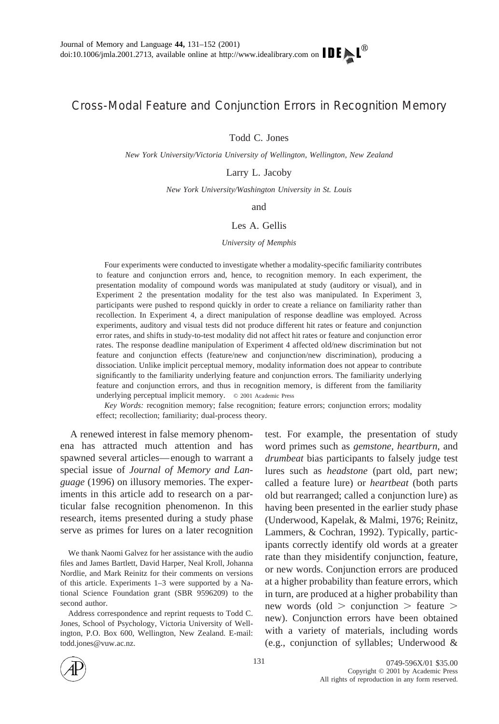## Cross-Modal Feature and Conjunction Errors in Recognition Memory

Todd C. Jones

*New York University/Victoria University of Wellington, Wellington, New Zealand*

Larry L. Jacoby

*New York University/Washington University in St. Louis*

and

## Les A. Gellis

## *University of Memphis*

Four experiments were conducted to investigate whether a modality-specific familiarity contributes to feature and conjunction errors and, hence, to recognition memory. In each experiment, the presentation modality of compound words was manipulated at study (auditory or visual), and in Experiment 2 the presentation modality for the test also was manipulated. In Experiment 3, participants were pushed to respond quickly in order to create a reliance on familiarity rather than recollection. In Experiment 4, a direct manipulation of response deadline was employed. Across experiments, auditory and visual tests did not produce different hit rates or feature and conjunction error rates, and shifts in study-to-test modality did not affect hit rates or feature and conjunction error rates. The response deadline manipulation of Experiment 4 affected old/new discrimination but not feature and conjunction effects (feature/new and conjunction/new discrimination), producing a dissociation. Unlike implicit perceptual memory, modality information does not appear to contribute significantly to the familiarity underlying feature and conjunction errors. The familiarity underlying feature and conjunction errors, and thus in recognition memory, is different from the familiarity underlying perceptual implicit memory. © 2001 Academic Press

*Key Words:* recognition memory; false recognition; feature errors; conjunction errors; modality effect; recollection; familiarity; dual-process theory.

A renewed interest in false memory phenomena has attracted much attention and has spawned several articles—enough to warrant a special issue of *Journal of Memory and Language* (1996) on illusory memories. The experiments in this article add to research on a particular false recognition phenomenon. In this research, items presented during a study phase serve as primes for lures on a later recognition

We thank Naomi Galvez for her assistance with the audio files and James Bartlett, David Harper, Neal Kroll, Johanna Nordlie, and Mark Reinitz for their comments on versions of this article. Experiments 1–3 were supported by a National Science Foundation grant (SBR 9596209) to the second author.

Address correspondence and reprint requests to Todd C. Jones, School of Psychology, Victoria University of Wellington, P.O. Box 600, Wellington, New Zealand. E-mail: todd.jones@vuw.ac.nz.

test. For example, the presentation of study word primes such as *gemstone, heartburn,* and *drumbeat* bias participants to falsely judge test lures such as *headstone* (part old, part new; called a feature lure) or *heartbeat* (both parts old but rearranged; called a conjunction lure) as having been presented in the earlier study phase (Underwood, Kapelak, & Malmi, 1976; Reinitz, Lammers, & Cochran, 1992). Typically, participants correctly identify old words at a greater rate than they misidentify conjunction, feature, or new words. Conjunction errors are produced at a higher probability than feature errors, which in turn, are produced at a higher probability than new words (old  $>$  conjunction  $>$  feature  $>$ new). Conjunction errors have been obtained with a variety of materials, including words (e.g., conjunction of syllables; Underwood &

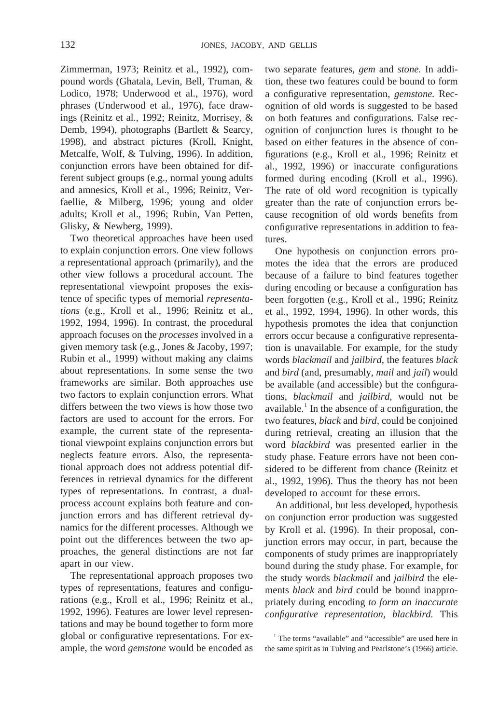132 JONES, JACOBY, AND GELLIS

Zimmerman, 1973; Reinitz et al., 1992), compound words (Ghatala, Levin, Bell, Truman, & Lodico, 1978; Underwood et al., 1976), word phrases (Underwood et al., 1976), face drawings (Reinitz et al., 1992; Reinitz, Morrisey, & Demb, 1994), photographs (Bartlett & Searcy, 1998), and abstract pictures (Kroll, Knight, Metcalfe, Wolf, & Tulving, 1996). In addition, conjunction errors have been obtained for different subject groups (e.g., normal young adults and amnesics, Kroll et al., 1996; Reinitz, Verfaellie, & Milberg, 1996; young and older adults; Kroll et al., 1996; Rubin, Van Petten, Glisky, & Newberg, 1999).

Two theoretical approaches have been used to explain conjunction errors. One view follows a representational approach (primarily), and the other view follows a procedural account. The representational viewpoint proposes the existence of specific types of memorial *representations* (e.g., Kroll et al., 1996; Reinitz et al., 1992, 1994, 1996). In contrast, the procedural approach focuses on the *processes* involved in a given memory task (e.g., Jones & Jacoby, 1997; Rubin et al., 1999) without making any claims about representations. In some sense the two frameworks are similar. Both approaches use two factors to explain conjunction errors. What differs between the two views is how those two factors are used to account for the errors. For example, the current state of the representational viewpoint explains conjunction errors but neglects feature errors. Also, the representational approach does not address potential differences in retrieval dynamics for the different types of representations. In contrast, a dualprocess account explains both feature and conjunction errors and has different retrieval dynamics for the different processes. Although we point out the differences between the two approaches, the general distinctions are not far apart in our view.

The representational approach proposes two types of representations, features and configurations (e.g., Kroll et al., 1996; Reinitz et al., 1992, 1996). Features are lower level representations and may be bound together to form more global or configurative representations. For example, the word *gemstone* would be encoded as

two separate features, *gem* and *stone.* In addition, these two features could be bound to form a configurative representation, *gemstone.* Recognition of old words is suggested to be based on both features and configurations. False recognition of conjunction lures is thought to be based on either features in the absence of configurations (e.g., Kroll et al., 1996; Reinitz et al., 1992, 1996) or inaccurate configurations formed during encoding (Kroll et al., 1996). The rate of old word recognition is typically greater than the rate of conjunction errors because recognition of old words benefits from configurative representations in addition to features.

One hypothesis on conjunction errors promotes the idea that the errors are produced because of a failure to bind features together during encoding or because a configuration has been forgotten (e.g., Kroll et al., 1996; Reinitz et al., 1992, 1994, 1996). In other words, this hypothesis promotes the idea that conjunction errors occur because a configurative representation is unavailable. For example, for the study words *blackmail* and *jailbird,* the features *black* and *bird* (and, presumably, *mail* and *jail*) would be available (and accessible) but the configurations, *blackmail* and *jailbird,* would not be available.<sup>1</sup> In the absence of a configuration, the two features, *black* and *bird,* could be conjoined during retrieval, creating an illusion that the word *blackbird* was presented earlier in the study phase. Feature errors have not been considered to be different from chance (Reinitz et al., 1992, 1996). Thus the theory has not been developed to account for these errors.

An additional, but less developed, hypothesis on conjunction error production was suggested by Kroll et al. (1996). In their proposal, conjunction errors may occur, in part, because the components of study primes are inappropriately bound during the study phase. For example, for the study words *blackmail* and *jailbird* the elements *black* and *bird* could be bound inappropriately during encoding *to form an inaccurate configurative representation, blackbird.* This

<sup>1</sup> The terms "available" and "accessible" are used here in the same spirit as in Tulving and Pearlstone's (1966) article.